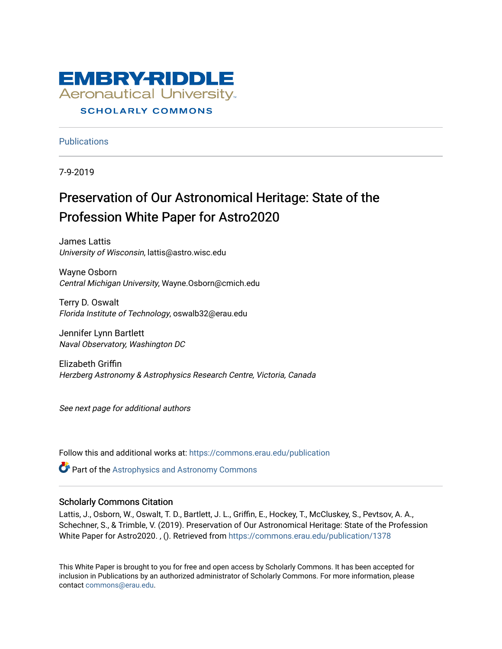

## **SCHOLARLY COMMONS**

**Publications** 

7-9-2019

# Preservation of Our Astronomical Heritage: State of the Profession White Paper for Astro2020

James Lattis University of Wisconsin, lattis@astro.wisc.edu

Wayne Osborn Central Michigan University, Wayne.Osborn@cmich.edu

Terry D. Oswalt Florida Institute of Technology, oswalb32@erau.edu

Jennifer Lynn Bartlett Naval Observatory, Washington DC

Elizabeth Griffin Herzberg Astronomy & Astrophysics Research Centre, Victoria, Canada

See next page for additional authors

Follow this and additional works at: [https://commons.erau.edu/publication](https://commons.erau.edu/publication?utm_source=commons.erau.edu%2Fpublication%2F1378&utm_medium=PDF&utm_campaign=PDFCoverPages) 

**Part of the Astrophysics and Astronomy Commons** 

#### Scholarly Commons Citation

Lattis, J., Osborn, W., Oswalt, T. D., Bartlett, J. L., Griffin, E., Hockey, T., McCluskey, S., Pevtsov, A. A., Schechner, S., & Trimble, V. (2019). Preservation of Our Astronomical Heritage: State of the Profession White Paper for Astro2020. , (). Retrieved from [https://commons.erau.edu/publication/1378](https://commons.erau.edu/publication/1378?utm_source=commons.erau.edu%2Fpublication%2F1378&utm_medium=PDF&utm_campaign=PDFCoverPages)

This White Paper is brought to you for free and open access by Scholarly Commons. It has been accepted for inclusion in Publications by an authorized administrator of Scholarly Commons. For more information, please contact [commons@erau.edu.](mailto:commons@erau.edu)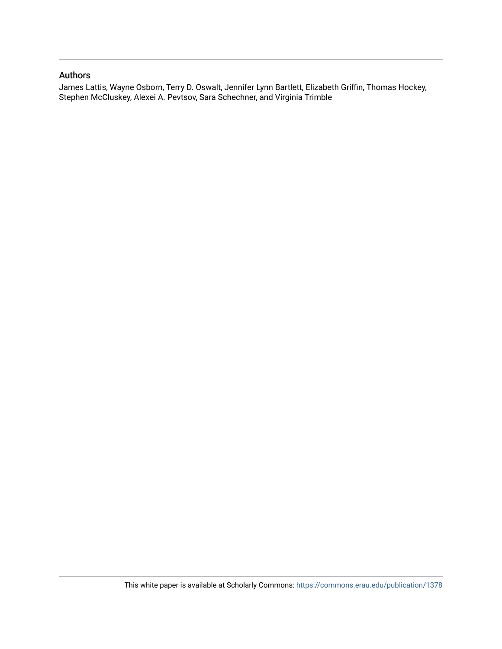#### Authors

James Lattis, Wayne Osborn, Terry D. Oswalt, Jennifer Lynn Bartlett, Elizabeth Griffin, Thomas Hockey, Stephen McCluskey, Alexei A. Pevtsov, Sara Schechner, and Virginia Trimble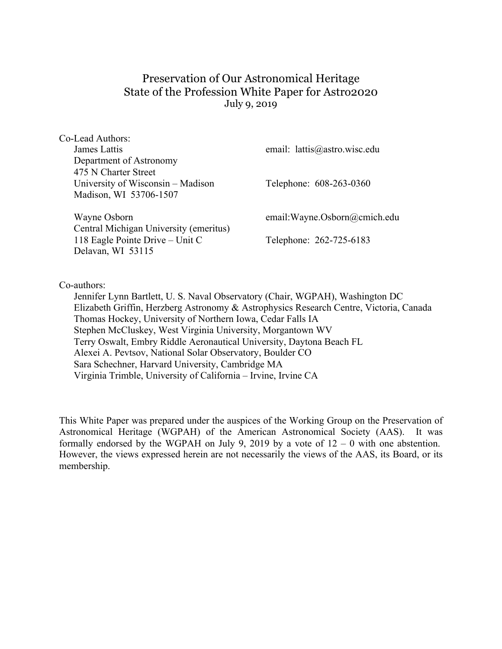## Preservation of Our Astronomical Heritage State of the Profession White Paper for Astro2020 July 9, 2019

| Co-Lead Authors:                       |                                |
|----------------------------------------|--------------------------------|
| James Lattis                           | email: lattis@astro.wisc.edu   |
| Department of Astronomy                |                                |
| 475 N Charter Street                   |                                |
| University of Wisconsin – Madison      | Telephone: 608-263-0360        |
| Madison, WI 53706-1507                 |                                |
| Wayne Osborn                           | email: Wayne. Osborn@cmich.edu |
| Central Michigan University (emeritus) |                                |
| 118 Eagle Pointe Drive – Unit C        | Telephone: 262-725-6183        |
|                                        |                                |
| Delavan, WI 53115                      |                                |
|                                        |                                |

Co-authors:

Jennifer Lynn Bartlett, U. S. Naval Observatory (Chair, WGPAH), Washington DC Elizabeth Griffin, Herzberg Astronomy & Astrophysics Research Centre, Victoria, Canada Thomas Hockey, University of Northern Iowa, Cedar Falls IA Stephen McCluskey, West Virginia University, Morgantown WV Terry Oswalt, Embry Riddle Aeronautical University, Daytona Beach FL Alexei A. Pevtsov, National Solar Observatory, Boulder CO Sara Schechner, Harvard University, Cambridge MA Virginia Trimble, University of California – Irvine, Irvine CA

This White Paper was prepared under the auspices of the Working Group on the Preservation of Astronomical Heritage (WGPAH) of the American Astronomical Society (AAS). It was formally endorsed by the WGPAH on July 9, 2019 by a vote of  $12 - 0$  with one abstention. However, the views expressed herein are not necessarily the views of the AAS, its Board, or its membership.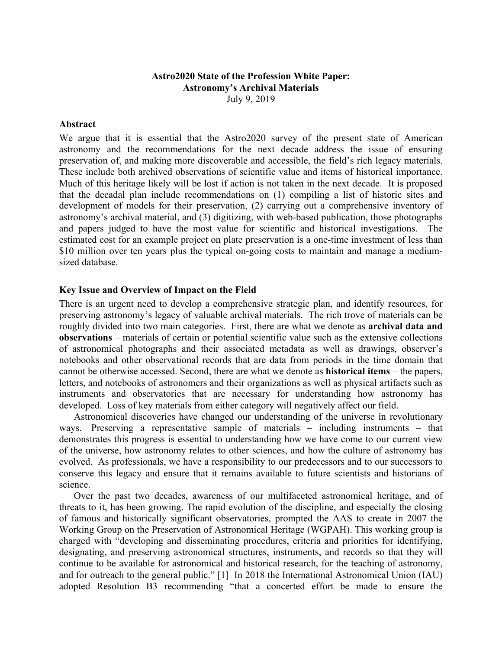## **Astro2020 State of the Profession White Paper: Astronomy's Archival Materials** July 9, 2019

#### **Abstract**

We argue that it is essential that the Astro2020 survey of the present state of American astronomy and the recommendations for the next decade address the issue of ensuring preservation of, and making more discoverable and accessible, the field's rich legacy materials. These include both archived observations of scientific value and items of historical importance. Much of this heritage likely will be lost if action is not taken in the next decade. It is proposed that the decadal plan include recommendations on (1) compiling a list of historic sites and development of models for their preservation, (2) carrying out a comprehensive inventory of astronomy's archival material, and (3) digitizing, with web-based publication, those photographs and papers judged to have the most value for scientific and historical investigations. The estimated cost for an example project on plate preservation is a one-time investment of less than \$10 million over ten years plus the typical on-going costs to maintain and manage a mediumsized database.

#### **Key Issue and Overview of Impact on the Field**

There is an urgent need to develop a comprehensive strategic plan, and identify resources, for preserving astronomy's legacy of valuable archival materials. The rich trove of materials can be roughly divided into two main categories. First, there are what we denote as **archival data and observations** – materials of certain or potential scientific value such as the extensive collections of astronomical photographs and their associated metadata as well as drawings, observer's notebooks and other observational records that are data from periods in the time domain that cannot be otherwise accessed. Second, there are what we denote as **historical items** – the papers, letters, and notebooks of astronomers and their organizations as well as physical artifacts such as instruments and observatories that are necessary for understanding how astronomy has developed. Loss of key materials from either category will negatively affect our field.

Astronomical discoveries have changed our understanding of the universe in revolutionary ways. Preserving a representative sample of materials – including instruments – that demonstrates this progress is essential to understanding how we have come to our current view of the universe, how astronomy relates to other sciences, and how the culture of astronomy has evolved. As professionals, we have a responsibility to our predecessors and to our successors to conserve this legacy and ensure that it remains available to future scientists and historians of science.

Over the past two decades, awareness of our multifaceted astronomical heritage, and of threats to it, has been growing. The rapid evolution of the discipline, and especially the closing of famous and historically significant observatories, prompted the AAS to create in 2007 the Working Group on the Preservation of Astronomical Heritage (WGPAH). This working group is charged with "developing and disseminating procedures, criteria and priorities for identifying, designating, and preserving astronomical structures, instruments, and records so that they will continue to be available for astronomical and historical research, for the teaching of astronomy, and for outreach to the general public." [1] In 2018 the International Astronomical Union (IAU) adopted Resolution B3 recommending "that a concerted effort be made to ensure the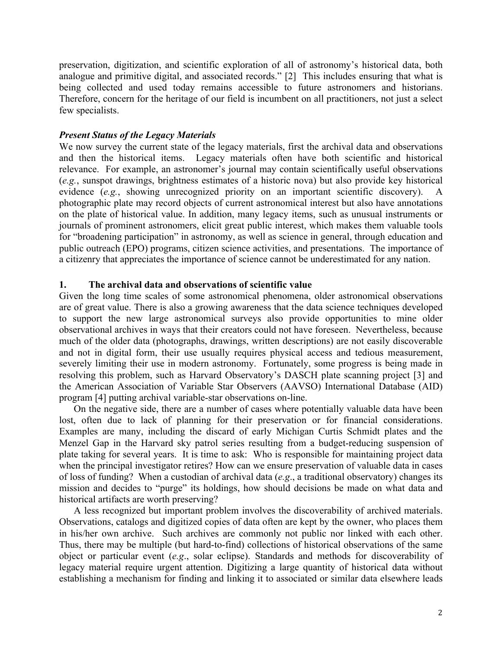preservation, digitization, and scientific exploration of all of astronomy's historical data, both analogue and primitive digital, and associated records." [2] This includes ensuring that what is being collected and used today remains accessible to future astronomers and historians. Therefore, concern for the heritage of our field is incumbent on all practitioners, not just a select few specialists.

## *Present Status of the Legacy Materials*

We now survey the current state of the legacy materials, first the archival data and observations and then the historical items. Legacy materials often have both scientific and historical relevance. For example, an astronomer's journal may contain scientifically useful observations (*e.g.*, sunspot drawings, brightness estimates of a historic nova) but also provide key historical evidence (*e.g.*, showing unrecognized priority on an important scientific discovery). photographic plate may record objects of current astronomical interest but also have annotations on the plate of historical value. In addition, many legacy items, such as unusual instruments or journals of prominent astronomers, elicit great public interest, which makes them valuable tools for "broadening participation" in astronomy, as well as science in general, through education and public outreach (EPO) programs, citizen science activities, and presentations. The importance of a citizenry that appreciates the importance of science cannot be underestimated for any nation.

## **1. The archival data and observations of scientific value**

Given the long time scales of some astronomical phenomena, older astronomical observations are of great value. There is also a growing awareness that the data science techniques developed to support the new large astronomical surveys also provide opportunities to mine older observational archives in ways that their creators could not have foreseen. Nevertheless, because much of the older data (photographs, drawings, written descriptions) are not easily discoverable and not in digital form, their use usually requires physical access and tedious measurement, severely limiting their use in modern astronomy. Fortunately, some progress is being made in resolving this problem, such as Harvard Observatory's DASCH plate scanning project [3] and the American Association of Variable Star Observers (AAVSO) International Database (AID) program [4] putting archival variable-star observations on-line.

On the negative side, there are a number of cases where potentially valuable data have been lost, often due to lack of planning for their preservation or for financial considerations. Examples are many, including the discard of early Michigan Curtis Schmidt plates and the Menzel Gap in the Harvard sky patrol series resulting from a budget-reducing suspension of plate taking for several years. It is time to ask: Who is responsible for maintaining project data when the principal investigator retires? How can we ensure preservation of valuable data in cases of loss of funding? When a custodian of archival data (*e.g*., a traditional observatory) changes its mission and decides to "purge" its holdings, how should decisions be made on what data and historical artifacts are worth preserving?

A less recognized but important problem involves the discoverability of archived materials. Observations, catalogs and digitized copies of data often are kept by the owner, who places them in his/her own archive. Such archives are commonly not public nor linked with each other. Thus, there may be multiple (but hard-to-find) collections of historical observations of the same object or particular event (*e.g*., solar eclipse). Standards and methods for discoverability of legacy material require urgent attention. Digitizing a large quantity of historical data without establishing a mechanism for finding and linking it to associated or similar data elsewhere leads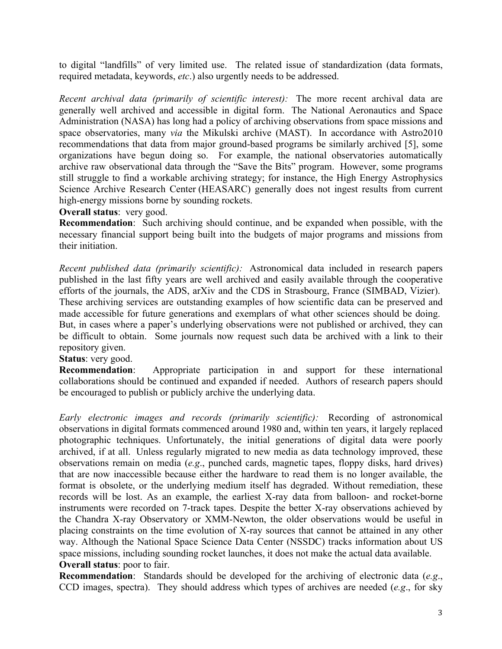to digital "landfills" of very limited use. The related issue of standardization (data formats, required metadata, keywords, *etc*.) also urgently needs to be addressed.

*Recent archival data (primarily of scientific interest):* The more recent archival data are generally well archived and accessible in digital form. The National Aeronautics and Space Administration (NASA) has long had a policy of archiving observations from space missions and space observatories, many *via* the Mikulski archive (MAST). In accordance with Astro2010 recommendations that data from major ground-based programs be similarly archived [5], some organizations have begun doing so. For example, the national observatories automatically archive raw observational data through the "Save the Bits" program. However, some programs still struggle to find a workable archiving strategy; for instance, the High Energy Astrophysics Science Archive Research Center (HEASARC) generally does not ingest results from current high-energy missions borne by sounding rockets.

## **Overall status**: very good.

**Recommendation**: Such archiving should continue, and be expanded when possible, with the necessary financial support being built into the budgets of major programs and missions from their initiation.

*Recent published data (primarily scientific):* Astronomical data included in research papers published in the last fifty years are well archived and easily available through the cooperative efforts of the journals, the ADS, arXiv and the CDS in Strasbourg, France (SIMBAD, Vizier). These archiving services are outstanding examples of how scientific data can be preserved and made accessible for future generations and exemplars of what other sciences should be doing. But, in cases where a paper's underlying observations were not published or archived, they can be difficult to obtain. Some journals now request such data be archived with a link to their repository given.

**Status**: very good.

**Recommendation**: Appropriate participation in and support for these international collaborations should be continued and expanded if needed. Authors of research papers should be encouraged to publish or publicly archive the underlying data.

*Early electronic images and records (primarily scientific):* Recording of astronomical observations in digital formats commenced around 1980 and, within ten years, it largely replaced photographic techniques. Unfortunately, the initial generations of digital data were poorly archived, if at all. Unless regularly migrated to new media as data technology improved, these observations remain on media (*e.g*., punched cards, magnetic tapes, floppy disks, hard drives) that are now inaccessible because either the hardware to read them is no longer available, the format is obsolete, or the underlying medium itself has degraded. Without remediation, these records will be lost. As an example, the earliest X-ray data from balloon- and rocket-borne instruments were recorded on 7-track tapes. Despite the better X-ray observations achieved by the Chandra X-ray Observatory or XMM-Newton, the older observations would be useful in placing constraints on the time evolution of X-ray sources that cannot be attained in any other way. Although the National Space Science Data Center (NSSDC) tracks information about US space missions, including sounding rocket launches, it does not make the actual data available. **Overall status**: poor to fair.

**Recommendation**: Standards should be developed for the archiving of electronic data (*e.g*., CCD images, spectra). They should address which types of archives are needed (*e.g*., for sky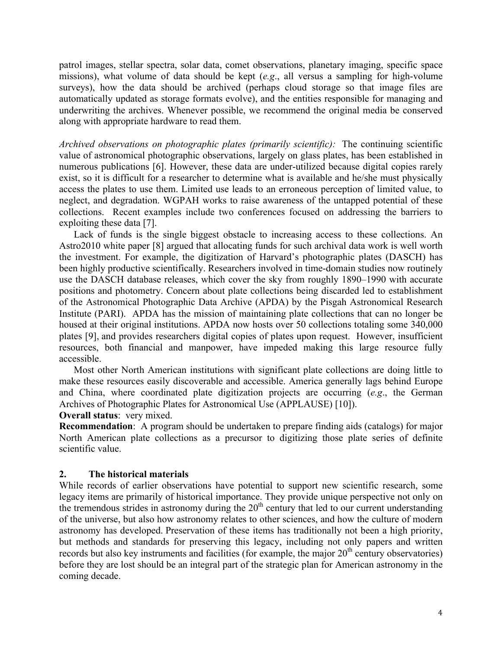patrol images, stellar spectra, solar data, comet observations, planetary imaging, specific space missions), what volume of data should be kept (*e.g*., all versus a sampling for high-volume surveys), how the data should be archived (perhaps cloud storage so that image files are automatically updated as storage formats evolve), and the entities responsible for managing and underwriting the archives. Whenever possible, we recommend the original media be conserved along with appropriate hardware to read them.

*Archived observations on photographic plates (primarily scientific):* The continuing scientific value of astronomical photographic observations, largely on glass plates, has been established in numerous publications [6]. However, these data are under-utilized because digital copies rarely exist, so it is difficult for a researcher to determine what is available and he/she must physically access the plates to use them. Limited use leads to an erroneous perception of limited value, to neglect, and degradation. WGPAH works to raise awareness of the untapped potential of these collections. Recent examples include two conferences focused on addressing the barriers to exploiting these data [7].

Lack of funds is the single biggest obstacle to increasing access to these collections. An Astro2010 white paper [8] argued that allocating funds for such archival data work is well worth the investment. For example, the digitization of Harvard's photographic plates (DASCH) has been highly productive scientifically. Researchers involved in time-domain studies now routinely use the DASCH database releases, which cover the sky from roughly 1890–1990 with accurate positions and photometry. Concern about plate collections being discarded led to establishment of the Astronomical Photographic Data Archive (APDA) by the Pisgah Astronomical Research Institute (PARI). APDA has the mission of maintaining plate collections that can no longer be housed at their original institutions. APDA now hosts over 50 collections totaling some 340,000 plates [9], and provides researchers digital copies of plates upon request. However, insufficient resources, both financial and manpower, have impeded making this large resource fully accessible.

Most other North American institutions with significant plate collections are doing little to make these resources easily discoverable and accessible. America generally lags behind Europe and China, where coordinated plate digitization projects are occurring (*e.g*., the German Archives of Photographic Plates for Astronomical Use (APPLAUSE) [10]).

## **Overall status**: very mixed.

**Recommendation**: A program should be undertaken to prepare finding aids (catalogs) for major North American plate collections as a precursor to digitizing those plate series of definite scientific value.

#### **2. The historical materials**

While records of earlier observations have potential to support new scientific research, some legacy items are primarily of historical importance. They provide unique perspective not only on the tremendous strides in astronomy during the  $20<sup>th</sup>$  century that led to our current understanding of the universe, but also how astronomy relates to other sciences, and how the culture of modern astronomy has developed. Preservation of these items has traditionally not been a high priority, but methods and standards for preserving this legacy, including not only papers and written records but also key instruments and facilities (for example, the major  $20<sup>th</sup>$  century observatories) before they are lost should be an integral part of the strategic plan for American astronomy in the coming decade.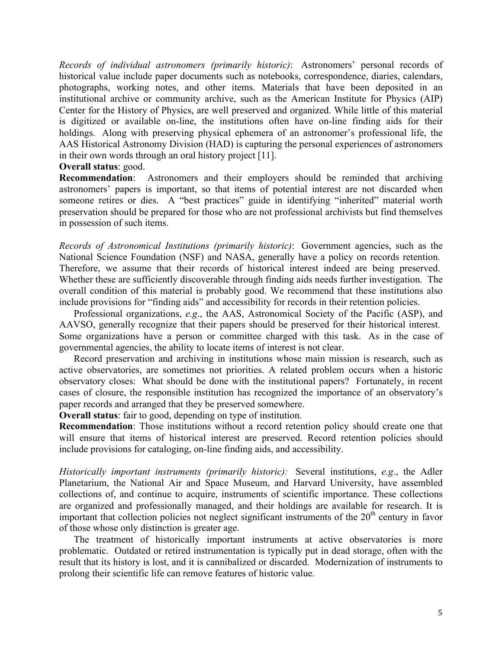*Records of individual astronomers (primarily historic)*: Astronomers' personal records of historical value include paper documents such as notebooks, correspondence, diaries, calendars, photographs, working notes, and other items. Materials that have been deposited in an institutional archive or community archive, such as the American Institute for Physics (AIP) Center for the History of Physics, are well preserved and organized. While little of this material is digitized or available on-line, the institutions often have on-line finding aids for their holdings. Along with preserving physical ephemera of an astronomer's professional life, the AAS Historical Astronomy Division (HAD) is capturing the personal experiences of astronomers in their own words through an oral history project [11].

## **Overall status**: good.

**Recommendation**: Astronomers and their employers should be reminded that archiving astronomers' papers is important, so that items of potential interest are not discarded when someone retires or dies. A "best practices" guide in identifying "inherited" material worth preservation should be prepared for those who are not professional archivists but find themselves in possession of such items.

*Records of Astronomical Institutions (primarily historic)*: Government agencies, such as the National Science Foundation (NSF) and NASA, generally have a policy on records retention. Therefore, we assume that their records of historical interest indeed are being preserved. Whether these are sufficiently discoverable through finding aids needs further investigation. The overall condition of this material is probably good. We recommend that these institutions also include provisions for "finding aids" and accessibility for records in their retention policies.

Professional organizations, *e.g*., the AAS, Astronomical Society of the Pacific (ASP), and AAVSO, generally recognize that their papers should be preserved for their historical interest. Some organizations have a person or committee charged with this task. As in the case of governmental agencies, the ability to locate items of interest is not clear.

Record preservation and archiving in institutions whose main mission is research, such as active observatories, are sometimes not priorities. A related problem occurs when a historic observatory closes: What should be done with the institutional papers? Fortunately, in recent cases of closure, the responsible institution has recognized the importance of an observatory's paper records and arranged that they be preserved somewhere.

**Overall status**: fair to good, depending on type of institution.

**Recommendation**: Those institutions without a record retention policy should create one that will ensure that items of historical interest are preserved. Record retention policies should include provisions for cataloging, on-line finding aids, and accessibility.

*Historically important instruments (primarily historic):* Several institutions, *e.g*., the Adler Planetarium, the National Air and Space Museum, and Harvard University, have assembled collections of, and continue to acquire, instruments of scientific importance. These collections are organized and professionally managed, and their holdings are available for research. It is important that collection policies not neglect significant instruments of the  $20<sup>th</sup>$  century in favor of those whose only distinction is greater age.

The treatment of historically important instruments at active observatories is more problematic. Outdated or retired instrumentation is typically put in dead storage, often with the result that its history is lost, and it is cannibalized or discarded. Modernization of instruments to prolong their scientific life can remove features of historic value.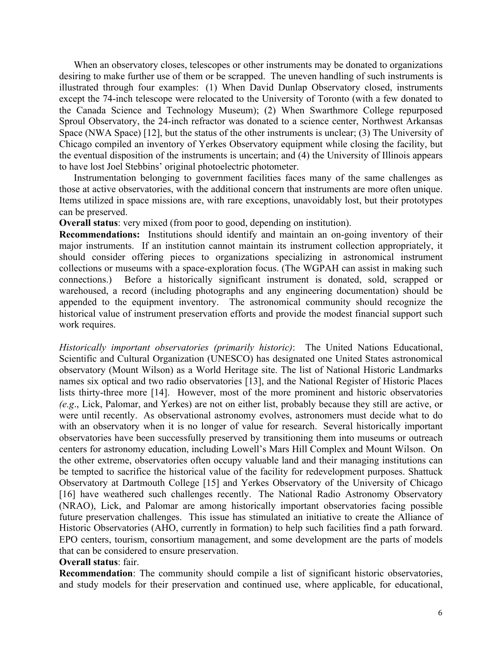When an observatory closes, telescopes or other instruments may be donated to organizations desiring to make further use of them or be scrapped. The uneven handling of such instruments is illustrated through four examples: (1) When David Dunlap Observatory closed, instruments except the 74-inch telescope were relocated to the University of Toronto (with a few donated to the Canada Science and Technology Museum); (2) When Swarthmore College repurposed Sproul Observatory, the 24-inch refractor was donated to a science center, Northwest Arkansas Space (NWA Space) [12], but the status of the other instruments is unclear; (3) The University of Chicago compiled an inventory of Yerkes Observatory equipment while closing the facility, but the eventual disposition of the instruments is uncertain; and (4) the University of Illinois appears to have lost Joel Stebbins' original photoelectric photometer.

Instrumentation belonging to government facilities faces many of the same challenges as those at active observatories, with the additional concern that instruments are more often unique. Items utilized in space missions are, with rare exceptions, unavoidably lost, but their prototypes can be preserved.

**Overall status**: very mixed (from poor to good, depending on institution).

**Recommendations:** Institutions should identify and maintain an on-going inventory of their major instruments. If an institution cannot maintain its instrument collection appropriately, it should consider offering pieces to organizations specializing in astronomical instrument collections or museums with a space-exploration focus. (The WGPAH can assist in making such connections.) Before a historically significant instrument is donated, sold, scrapped or warehoused, a record (including photographs and any engineering documentation) should be appended to the equipment inventory. The astronomical community should recognize the historical value of instrument preservation efforts and provide the modest financial support such work requires.

*Historically important observatories (primarily historic)*: The United Nations Educational, Scientific and Cultural Organization (UNESCO) has designated one United States astronomical observatory (Mount Wilson) as a World Heritage site. The list of National Historic Landmarks names six optical and two radio observatories [13], and the National Register of Historic Places lists thirty-three more [14]. However, most of the more prominent and historic observatories *(e.g*., Lick, Palomar, and Yerkes) are not on either list, probably because they still are active, or were until recently. As observational astronomy evolves, astronomers must decide what to do with an observatory when it is no longer of value for research. Several historically important observatories have been successfully preserved by transitioning them into museums or outreach centers for astronomy education, including Lowell's Mars Hill Complex and Mount Wilson. On the other extreme, observatories often occupy valuable land and their managing institutions can be tempted to sacrifice the historical value of the facility for redevelopment purposes. Shattuck Observatory at Dartmouth College [15] and Yerkes Observatory of the University of Chicago [16] have weathered such challenges recently. The National Radio Astronomy Observatory (NRAO), Lick, and Palomar are among historically important observatories facing possible future preservation challenges. This issue has stimulated an initiative to create the Alliance of Historic Observatories (AHO, currently in formation) to help such facilities find a path forward. EPO centers, tourism, consortium management, and some development are the parts of models that can be considered to ensure preservation.

## **Overall status**: fair.

**Recommendation**: The community should compile a list of significant historic observatories, and study models for their preservation and continued use, where applicable, for educational,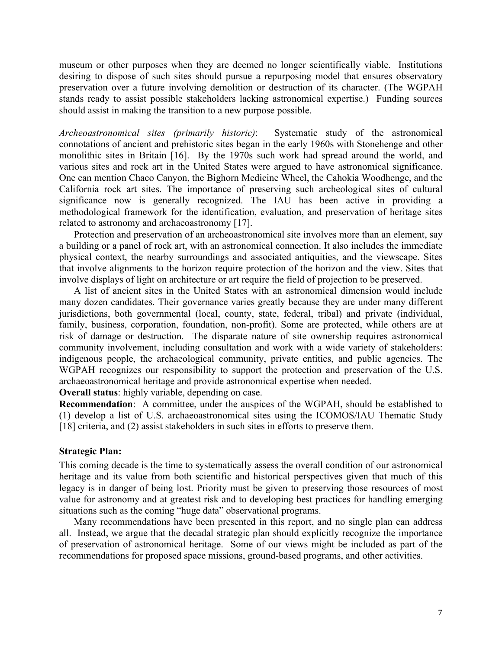museum or other purposes when they are deemed no longer scientifically viable. Institutions desiring to dispose of such sites should pursue a repurposing model that ensures observatory preservation over a future involving demolition or destruction of its character. (The WGPAH stands ready to assist possible stakeholders lacking astronomical expertise.) Funding sources should assist in making the transition to a new purpose possible.

*Archeoastronomical sites (primarily historic)*: Systematic study of the astronomical connotations of ancient and prehistoric sites began in the early 1960s with Stonehenge and other monolithic sites in Britain [16]. By the 1970s such work had spread around the world, and various sites and rock art in the United States were argued to have astronomical significance. One can mention Chaco Canyon, the Bighorn Medicine Wheel, the Cahokia Woodhenge, and the California rock art sites. The importance of preserving such archeological sites of cultural significance now is generally recognized. The IAU has been active in providing a methodological framework for the identification, evaluation, and preservation of heritage sites related to astronomy and archaeoastronomy [17].

Protection and preservation of an archeoastronomical site involves more than an element, say a building or a panel of rock art, with an astronomical connection. It also includes the immediate physical context, the nearby surroundings and associated antiquities, and the viewscape. Sites that involve alignments to the horizon require protection of the horizon and the view. Sites that involve displays of light on architecture or art require the field of projection to be preserved.

A list of ancient sites in the United States with an astronomical dimension would include many dozen candidates. Their governance varies greatly because they are under many different jurisdictions, both governmental (local, county, state, federal, tribal) and private (individual, family, business, corporation, foundation, non-profit). Some are protected, while others are at risk of damage or destruction. The disparate nature of site ownership requires astronomical community involvement, including consultation and work with a wide variety of stakeholders: indigenous people, the archaeological community, private entities, and public agencies. The WGPAH recognizes our responsibility to support the protection and preservation of the U.S. archaeoastronomical heritage and provide astronomical expertise when needed.

**Overall status**: highly variable, depending on case.

**Recommendation**: A committee, under the auspices of the WGPAH, should be established to (1) develop a list of U.S. archaeoastronomical sites using the ICOMOS/IAU Thematic Study [18] criteria, and (2) assist stakeholders in such sites in efforts to preserve them.

#### **Strategic Plan:**

This coming decade is the time to systematically assess the overall condition of our astronomical heritage and its value from both scientific and historical perspectives given that much of this legacy is in danger of being lost. Priority must be given to preserving those resources of most value for astronomy and at greatest risk and to developing best practices for handling emerging situations such as the coming "huge data" observational programs.

Many recommendations have been presented in this report, and no single plan can address all. Instead, we argue that the decadal strategic plan should explicitly recognize the importance of preservation of astronomical heritage. Some of our views might be included as part of the recommendations for proposed space missions, ground-based programs, and other activities.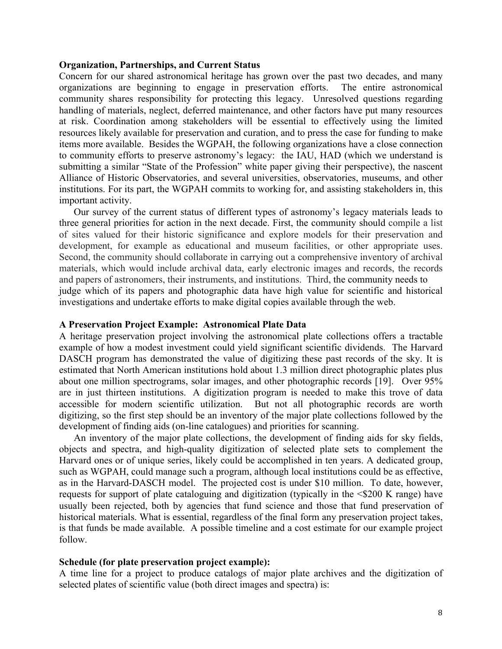#### **Organization, Partnerships, and Current Status**

Concern for our shared astronomical heritage has grown over the past two decades, and many organizations are beginning to engage in preservation efforts. The entire astronomical community shares responsibility for protecting this legacy. Unresolved questions regarding handling of materials, neglect, deferred maintenance, and other factors have put many resources at risk. Coordination among stakeholders will be essential to effectively using the limited resources likely available for preservation and curation, and to press the case for funding to make items more available. Besides the WGPAH, the following organizations have a close connection to community efforts to preserve astronomy's legacy: the IAU, HAD (which we understand is submitting a similar "State of the Profession" white paper giving their perspective), the nascent Alliance of Historic Observatories, and several universities, observatories, museums, and other institutions. For its part, the WGPAH commits to working for, and assisting stakeholders in, this important activity.

Our survey of the current status of different types of astronomy's legacy materials leads to three general priorities for action in the next decade. First, the community should compile a list of sites valued for their historic significance and explore models for their preservation and development, for example as educational and museum facilities, or other appropriate uses. Second, the community should collaborate in carrying out a comprehensive inventory of archival materials, which would include archival data, early electronic images and records, the records and papers of astronomers, their instruments, and institutions. Third, the community needs to judge which of its papers and photographic data have high value for scientific and historical investigations and undertake efforts to make digital copies available through the web.

#### **A Preservation Project Example: Astronomical Plate Data**

A heritage preservation project involving the astronomical plate collections offers a tractable example of how a modest investment could yield significant scientific dividends. The Harvard DASCH program has demonstrated the value of digitizing these past records of the sky. It is estimated that North American institutions hold about 1.3 million direct photographic plates plus about one million spectrograms, solar images, and other photographic records [19]. Over 95% are in just thirteen institutions. A digitization program is needed to make this trove of data accessible for modern scientific utilization. But not all photographic records are worth digitizing, so the first step should be an inventory of the major plate collections followed by the development of finding aids (on-line catalogues) and priorities for scanning.

An inventory of the major plate collections, the development of finding aids for sky fields, objects and spectra, and high-quality digitization of selected plate sets to complement the Harvard ones or of unique series, likely could be accomplished in ten years. A dedicated group, such as WGPAH, could manage such a program, although local institutions could be as effective, as in the Harvard-DASCH model. The projected cost is under \$10 million. To date, however, requests for support of plate cataloguing and digitization (typically in the <\$200 K range) have usually been rejected, both by agencies that fund science and those that fund preservation of historical materials. What is essential, regardless of the final form any preservation project takes, is that funds be made available. A possible timeline and a cost estimate for our example project follow.

#### **Schedule (for plate preservation project example):**

A time line for a project to produce catalogs of major plate archives and the digitization of selected plates of scientific value (both direct images and spectra) is: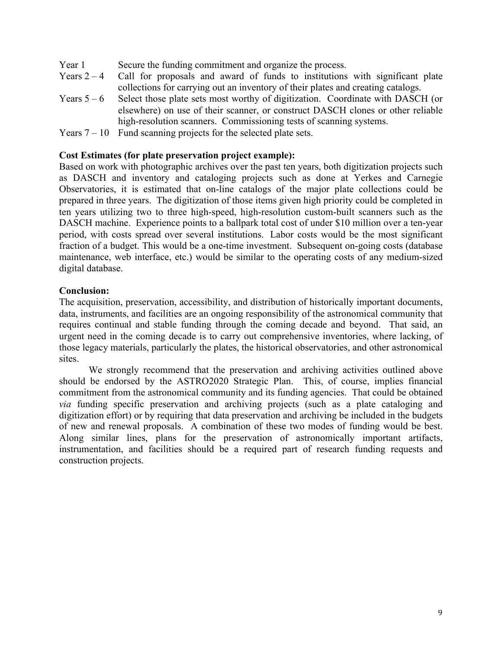- Year 1 Secure the funding commitment and organize the process.
- Years  $2 4$  Call for proposals and award of funds to institutions with significant plate collections for carrying out an inventory of their plates and creating catalogs.
- Years  $5 6$  Select those plate sets most worthy of digitization. Coordinate with DASCH (or elsewhere) on use of their scanner, or construct DASCH clones or other reliable high-resolution scanners. Commissioning tests of scanning systems.
- Years  $7 10$  Fund scanning projects for the selected plate sets.

## **Cost Estimates (for plate preservation project example):**

Based on work with photographic archives over the past ten years, both digitization projects such as DASCH and inventory and cataloging projects such as done at Yerkes and Carnegie Observatories, it is estimated that on-line catalogs of the major plate collections could be prepared in three years. The digitization of those items given high priority could be completed in ten years utilizing two to three high-speed, high-resolution custom-built scanners such as the DASCH machine. Experience points to a ballpark total cost of under \$10 million over a ten-year period, with costs spread over several institutions. Labor costs would be the most significant fraction of a budget. This would be a one-time investment. Subsequent on-going costs (database maintenance, web interface, etc.) would be similar to the operating costs of any medium-sized digital database.

## **Conclusion:**

The acquisition, preservation, accessibility, and distribution of historically important documents, data, instruments, and facilities are an ongoing responsibility of the astronomical community that requires continual and stable funding through the coming decade and beyond. That said, an urgent need in the coming decade is to carry out comprehensive inventories, where lacking, of those legacy materials, particularly the plates, the historical observatories, and other astronomical sites.

We strongly recommend that the preservation and archiving activities outlined above should be endorsed by the ASTRO2020 Strategic Plan. This, of course, implies financial commitment from the astronomical community and its funding agencies. That could be obtained *via* funding specific preservation and archiving projects (such as a plate cataloging and digitization effort) or by requiring that data preservation and archiving be included in the budgets of new and renewal proposals. A combination of these two modes of funding would be best. Along similar lines, plans for the preservation of astronomically important artifacts, instrumentation, and facilities should be a required part of research funding requests and construction projects.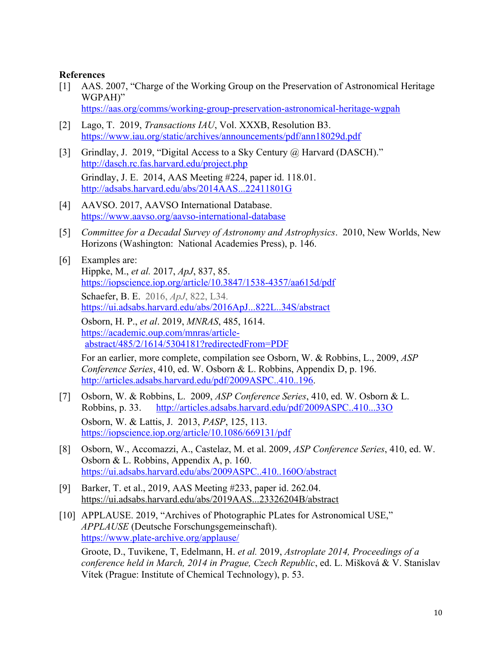## **References**

[1] AAS. 2007, "Charge of the Working Group on the Preservation of Astronomical Heritage WGPAH)"

https://aas.org/comms/working-group-preservation-astronomical-heritage-wgpah

- [2] Lago, T. 2019, *Transactions IAU*, Vol. XXXB, Resolution B3. https://www.iau.org/static/archives/announcements/pdf/ann18029d.pdf
- [3] Grindlay, J. 2019, "Digital Access to a Sky Century @ Harvard (DASCH)." http://dasch.rc.fas.harvard.edu/project.php Grindlay, J. E. 2014, AAS Meeting #224, paper id. 118.01. http://adsabs.harvard.edu/abs/2014AAS...22411801G
- [4] AAVSO. 2017, AAVSO International Database. https://www.aavso.org/aavso-international-database
- [5] *Committee for a Decadal Survey of Astronomy and Astrophysics*. 2010, New Worlds, New Horizons (Washington: National Academies Press), p. 146.
- [6] Examples are: Hippke, M., *et al.* 2017, *ApJ*, 837, 85. https://iopscience.iop.org/article/10.3847/1538-4357/aa615d/pdf Schaefer, B. E. 2016, *ApJ*, 822, L34. https://ui.adsabs.harvard.edu/abs/2016ApJ...822L..34S/abstract Osborn, H. P., *et al*. 2019, *MNRAS*, 485, 1614.

 https://academic.oup.com/mnras/articleabstract/485/2/1614/5304181?redirectedFrom=PDF

For an earlier, more complete, compilation see Osborn, W. & Robbins, L., 2009, *ASP Conference Series*, 410, ed. W. Osborn & L. Robbins, Appendix D, p. 196. http://articles.adsabs.harvard.edu/pdf/2009ASPC..410..196.

- [7] Osborn, W. & Robbins, L. 2009, *ASP Conference Series*, 410, ed. W. Osborn & L. Robbins, p. 33. http://articles.adsabs.harvard.edu/pdf/2009ASPC..410...33O Osborn, W. & Lattis, J. 2013, *PASP*, 125, 113. https://iopscience.iop.org/article/10.1086/669131/pdf
- [8] Osborn, W., Accomazzi, A., Castelaz, M. et al. 2009, *ASP Conference Series*, 410, ed. W. Osborn & L. Robbins, Appendix A, p. 160. https://ui.adsabs.harvard.edu/abs/2009ASPC..410..160O/abstract
- [9] Barker, T. et al., 2019, AAS Meeting #233, paper id. 262.04. https://ui.adsabs.harvard.edu/abs/2019AAS...23326204B/abstract
- [10] APPLAUSE. 2019, "Archives of Photographic PLates for Astronomical USE," *APPLAUSE* (Deutsche Forschungsgemeinschaft). https://www.plate-archive.org/applause/

Groote, D., Tuvikene, T, Edelmann, H. *et al.* 2019, *Astroplate 2014, Proceedings of a conference held in March, 2014 in Prague, Czech Republic*, ed. L. Mišková & V. Stanislav Vítek (Prague: Institute of Chemical Technology), p. 53.